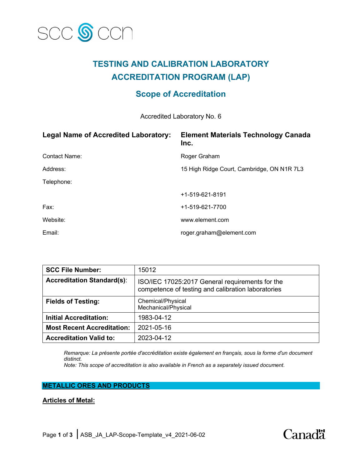

# **TESTING AND CALIBRATION LABORATORY ACCREDITATION PROGRAM (LAP)**

# **Scope of Accreditation**

Accredited Laboratory No. 6

| <b>Legal Name of Accredited Laboratory:</b> | <b>Element Materials Technology Canada</b><br>Inc. |
|---------------------------------------------|----------------------------------------------------|
| <b>Contact Name:</b>                        | Roger Graham                                       |
| Address:                                    | 15 High Ridge Court, Cambridge, ON N1R 7L3         |
| Telephone:                                  |                                                    |
|                                             | +1-519-621-8191                                    |
| Fax:                                        | +1-519-621-7700                                    |
| Website:                                    | www.element.com                                    |
| Email:                                      | roger.graham@element.com                           |

| <b>SCC File Number:</b>           | 15012                                                                                                 |
|-----------------------------------|-------------------------------------------------------------------------------------------------------|
| <b>Accreditation Standard(s):</b> | ISO/IEC 17025:2017 General requirements for the<br>competence of testing and calibration laboratories |
| <b>Fields of Testing:</b>         | Chemical/Physical<br>Mechanical/Physical                                                              |
| <b>Initial Accreditation:</b>     | 1983-04-12                                                                                            |
| <b>Most Recent Accreditation:</b> | 2021-05-16                                                                                            |
| <b>Accreditation Valid to:</b>    | 2023-04-12                                                                                            |

*Remarque: La présente portée d'accréditation existe également en français, sous la forme d'un document distinct.*

*Note: This scope of accreditation is also available in French as a separately issued document.*

## **METALLIC ORES AND PRODUCTS**

## **Articles of Metal:**

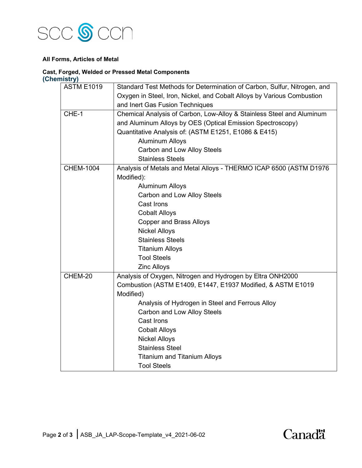

#### **All Forms, Articles of Metal**

#### **Cast, Forged, Welded or Pressed Metal Components (Chemistry)**

| <b>ASTM E1019</b> | Standard Test Methods for Determination of Carbon, Sulfur, Nitrogen, and                                   |  |
|-------------------|------------------------------------------------------------------------------------------------------------|--|
|                   | Oxygen in Steel, Iron, Nickel, and Cobalt Alloys by Various Combustion                                     |  |
|                   | and Inert Gas Fusion Techniques                                                                            |  |
| CHE-1             | Chemical Analysis of Carbon, Low-Alloy & Stainless Steel and Aluminum                                      |  |
|                   | and Aluminum Alloys by OES (Optical Emission Spectroscopy)                                                 |  |
|                   | Quantitative Analysis of: (ASTM E1251, E1086 & E415)                                                       |  |
|                   | <b>Aluminum Alloys</b><br>Carbon and Low Alloy Steels                                                      |  |
|                   |                                                                                                            |  |
|                   | <b>Stainless Steels</b>                                                                                    |  |
| <b>CHEM-1004</b>  | Analysis of Metals and Metal Alloys - THERMO ICAP 6500 (ASTM D1976<br>Modified):<br><b>Aluminum Alloys</b> |  |
|                   |                                                                                                            |  |
|                   |                                                                                                            |  |
|                   | Carbon and Low Alloy Steels                                                                                |  |
|                   | Cast Irons                                                                                                 |  |
|                   | <b>Cobalt Alloys</b>                                                                                       |  |
|                   | <b>Copper and Brass Alloys</b>                                                                             |  |
|                   | <b>Nickel Alloys</b>                                                                                       |  |
|                   | <b>Stainless Steels</b>                                                                                    |  |
|                   | <b>Titanium Alloys</b>                                                                                     |  |
|                   | <b>Tool Steels</b>                                                                                         |  |
|                   | <b>Zinc Alloys</b>                                                                                         |  |
| CHEM-20           | Analysis of Oxygen, Nitrogen and Hydrogen by Eltra ONH2000                                                 |  |
|                   | Combustion (ASTM E1409, E1447, E1937 Modified, & ASTM E1019                                                |  |
|                   | Modified)                                                                                                  |  |
|                   | Analysis of Hydrogen in Steel and Ferrous Alloy                                                            |  |
|                   | Carbon and Low Alloy Steels                                                                                |  |
|                   | Cast Irons                                                                                                 |  |
|                   | <b>Cobalt Alloys</b>                                                                                       |  |
|                   | <b>Nickel Alloys</b>                                                                                       |  |
|                   | <b>Stainless Steel</b>                                                                                     |  |
|                   | <b>Titanium and Titanium Alloys</b>                                                                        |  |
|                   | <b>Tool Steels</b>                                                                                         |  |